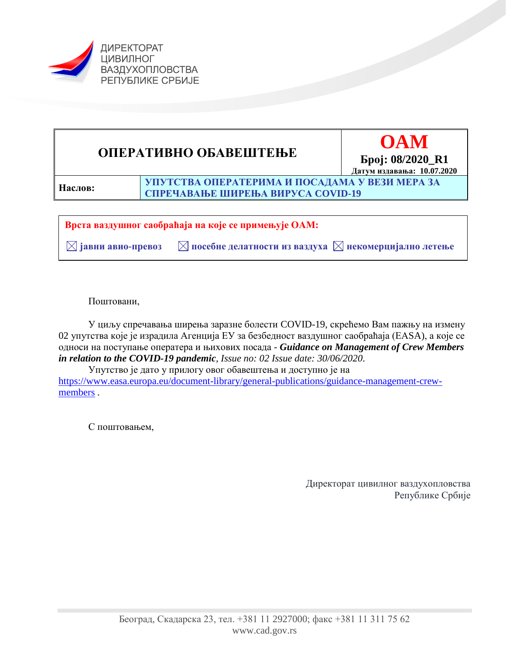

# **ОПЕРАТИВНО ОБАВЕШТЕЊЕ OAM**



**Наслов:**

**УПУТСТВА ОПЕРАТЕРИМА И ПОСАДАМА У ВЕЗИ МЕРА ЗА СПРЕЧАВАЊЕ ШИРЕЊА ВИРУСА COVID-19**

**Врста ваздушног саобраћаја на које се примењује ОАМ:**

 **јавни авио-превоз посебне делатности из ваздуха некомерцијално летење** 

Поштовани,

У циљу спречавања ширења заразне болести COVID-19, скрећемо Вам пажњу на измену 02 упутства које је израдила Агенција ЕУ за безбедност ваздушног саобраћаја (ЕАSA), а које се односи на поступање оператера и њихових посада - *Guidance on Management of Crew Members in relation to the COVID-19 pandemic, Issue no: 02 Issue date: 30/06/2020*.

Упутство је дато у прилогу овог обавештења и доступно је на [https://www.easa.europa.eu/document-library/general-publications/guidance-management-crew](https://www.easa.europa.eu/document-library/general-publications/guidance-management-crew-members)[members](https://www.easa.europa.eu/document-library/general-publications/guidance-management-crew-members) .

С поштовањем,

Директорат цивилног ваздухопловства Републике Србије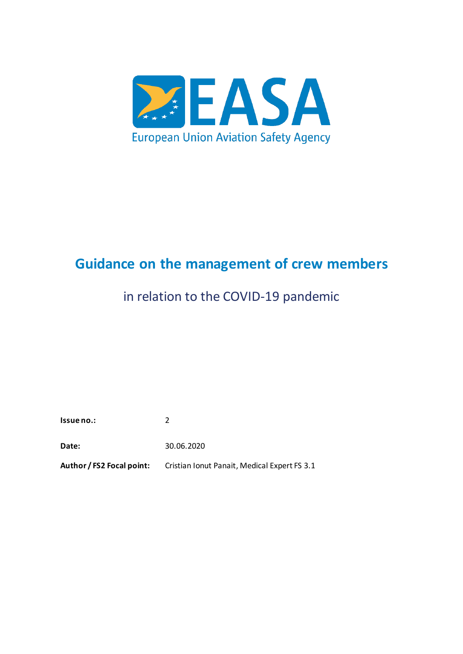

# <span id="page-1-1"></span><span id="page-1-0"></span>**Guidance on the management of crew members**

# in relation to the COVID-19 pandemic

**Issue no.:** 2

**Date:** 30.06.2020

**Author / FS2 Focal point:** Cristian Ionut Panait, Medical Expert FS 3.1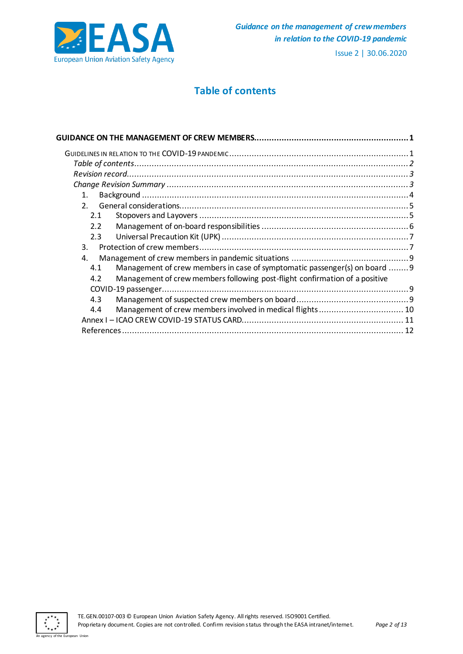

# **Table of contents**

<span id="page-2-0"></span>

| $\mathbf{1}$ .                                                                     |  |
|------------------------------------------------------------------------------------|--|
| 2 <sup>1</sup>                                                                     |  |
| 2.1                                                                                |  |
| 2.2                                                                                |  |
| 2.3                                                                                |  |
| 3.                                                                                 |  |
| 4.                                                                                 |  |
| Management of crew members in case of symptomatic passenger(s) on board  9<br>4.1  |  |
| Management of crew members following post-flight confirmation of a positive<br>4.2 |  |
|                                                                                    |  |
| 4.3                                                                                |  |
| Management of crew members involved in medical flights 10<br>4.4                   |  |
|                                                                                    |  |
|                                                                                    |  |
|                                                                                    |  |



an The Europe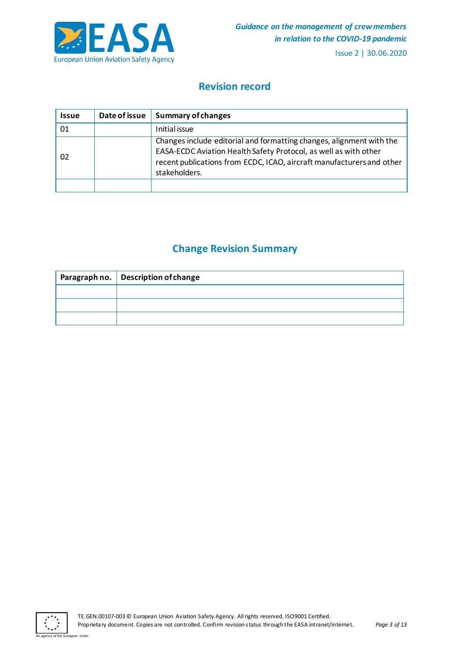

# **Revision record**

<span id="page-3-0"></span>

| <b>Issue</b> | Date of issue | <b>Summary of changes</b>                                                                                                                                                                                                          |
|--------------|---------------|------------------------------------------------------------------------------------------------------------------------------------------------------------------------------------------------------------------------------------|
| 01           |               | Initial issue                                                                                                                                                                                                                      |
| 02           |               | Changes include editorial and formatting changes, alignment with the<br>EASA-ECDC Aviation Health Safety Protocol, as well as with other<br>recent publications from ECDC, ICAO, aircraft manufacturers and other<br>stakeholders. |
|              |               |                                                                                                                                                                                                                                    |

# **Change Revision Summary**

<span id="page-3-1"></span>

| Paragraph no. Description of change |  |  |
|-------------------------------------|--|--|
|                                     |  |  |
|                                     |  |  |
|                                     |  |  |



an The Europe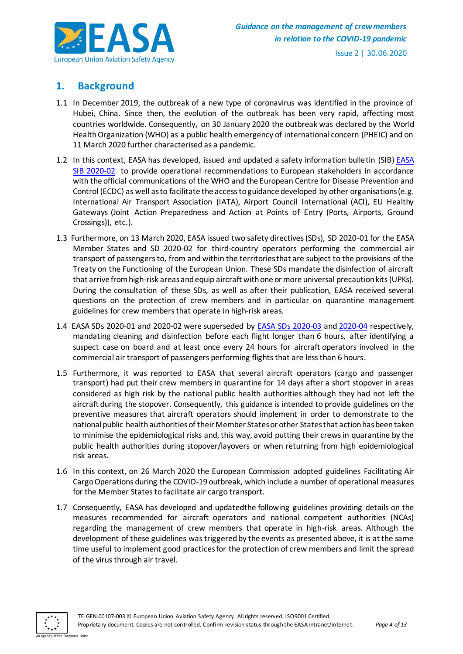

# <span id="page-4-0"></span>**1. Background**

- 1.1 In December 2019, the outbreak of a new type of coronavirus was identified in the province of Hubei, China. Since then, the evolution of the outbreak has been very rapid, affecting most countries worldwide. Consequently, on 30 January 2020 the outbreak was declared by the World Health Organization (WHO) as a public health emergency of international concern (PHEIC) and on 11 March 2020 further characterised as a pandemic.
- 1.2 In this context, [EASA](https://ad.easa.europa.eu/ad/2020-02R5) has developed, issued and updated a safety information bulletin (SIB) EASA [SIB 2020-02](https://ad.easa.europa.eu/ad/2020-02R5) to provide operational recommendations to European stakeholders in accordance with the official communications of the WHO and the European Centre for Disease Prevention and Control (ECDC) as well as to facilitate the access to guidance developed by other organisations (e.g. International Air Transport Association (IATA), Airport Council International (ACI), EU Healthy Gateways (Joint Action Preparedness and Action at Points of Entry (Ports, Airports, Ground Crossings)), etc.).
- 1.3 Furthermore, on 13 March 2020, EASA issued two safety directives (SDs), SD 2020-01 for the EASA Member States and SD 2020-02 for third-country operators performing the commercial air transport of passengers to, from and within the territories that are subject to the provisions of the Treaty on the Functioning of the European Union. These SDs mandate the disinfection of aircraft that arrive from high-risk areas and equip aircraft with one or more universal precaution kits (UPKs). During the consultation of these SDs, as well as after their publication, EASA received several questions on the protection of crew members and in particular on quarantine management guidelines for crew members that operate in high-risk areas.
- 1.4 EASA SDs 2020-01 and 2020-02 were superseded by [EASA SDs 2020-03](https://ad.easa.europa.eu/ad/SD-2020-03) an[d 2020-04](https://ad.easa.europa.eu/ad/SD-2020-04) respectively, mandating cleaning and disinfection before each flight longer than 6 hours, after identifying a suspect case on board and at least once every 24 hours for aircraft operators involved in the commercial air transport of passengers performing flights that are less than 6 hours.
- 1.5 Furthermore, it was reported to EASA that several aircraft operators (cargo and passenger transport) had put their crew members in quarantine for 14 days after a short stopover in areas considered as high risk by the national public health authorities although they had not left the aircraft during the stopover. Consequently, this guidance is intended to provide guidelines on the preventive measures that aircraft operators should implement in order to demonstrate to the national public health authorities of their Member States or other States that action has been taken to minimise the epidemiological risks and, this way, avoid putting their crews in quarantine by the public health authorities during stopover/layovers or when returning from high epidemiological risk areas.
- 1.6 In this context, on 26 March 2020 the European Commission adopted guidelines Facilitating Air Cargo Operations during the COVID-19 outbreak, which include a number of operational measures for the Member States to facilitate air cargo transport.
- 1.7 Consequently, EASA has developed and updatedthe following guidelines providing details on the measures recommended for aircraft operators and national competent authorities (NCAs) regarding the management of crew members that operate in high-risk areas. Although the development of these guidelines was triggered by the events as presented above, it is at the same time useful to implement good practices for the protection of crew members and limit the spread of the virus through air travel.

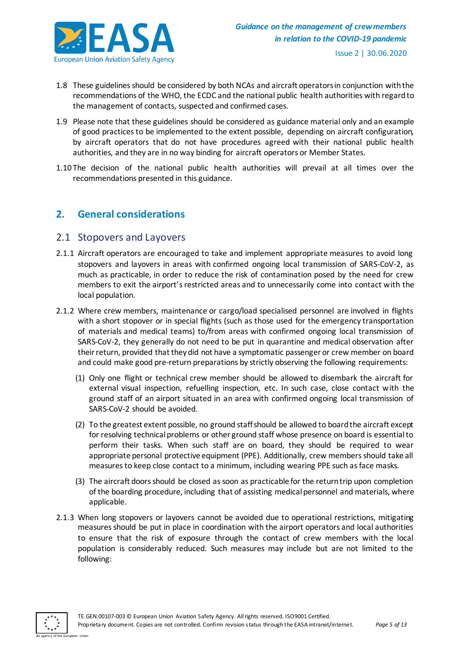

- 1.8 These guidelines should be considered by both NCAs and aircraft operators in conjunction with the recommendations of the WHO, the ECDC and the national public health authorities with regard to the management of contacts, suspected and confirmed cases.
- 1.9 Please note that these guidelines should be considered as guidance material only and an example of good practices to be implemented to the extent possible, depending on aircraft configuration, by aircraft operators that do not have procedures agreed with their national public health authorities, and they are in no way binding for aircraft operators or Member States.
- 1.10 The decision of the national public health authorities will prevail at all times over the recommendations presented in this guidance.

## <span id="page-5-0"></span>**2. General considerations**

#### <span id="page-5-1"></span>2.1 Stopovers and Layovers

- 2.1.1 Aircraft operators are encouraged to take and implement appropriate measures to avoid long stopovers and layovers in areas with confirmed ongoing local transmission of SARS-CoV-2, as much as practicable, in order to reduce the risk of contamination posed by the need for crew members to exit the airport's restricted areas and to unnecessarily come into contact with the local population.
- 2.1.2 Where crew members, maintenance or cargo/load specialised personnel are involved in flights with a short stopover or in special flights (such as those used for the emergency transportation of materials and medical teams) to/from areas with confirmed ongoing local transmission of SARS-CoV-2, they generally do not need to be put in quarantine and medical observation after their return, provided that they did not have a symptomatic passenger or crew member on board and could make good pre-return preparations by strictly observing the following requirements:
	- (1) Only one flight or technical crew member should be allowed to disembark the aircraft for external visual inspection, refuelling inspection, etc. In such case, close contact with the ground staff of an airport situated in an area with confirmed ongoing local transmission of SARS-CoV-2 should be avoided.
	- (2) To the greatest extent possible, no ground staff should be allowed to board the aircraft except for resolving technical problems or other ground staff whose presence on board is essential to perform their tasks. When such staff are on board, they should be required to wear appropriate personal protective equipment (PPE). Additionally, crew members should take all measures to keep close contact to a minimum, including wearing PPE such as face masks.
	- (3) The aircraft doors should be closed as soon as practicable for the return trip upon completion of the boarding procedure, including that of assisting medical personnel and materials, where applicable.
- 2.1.3 When long stopovers or layovers cannot be avoided due to operational restrictions, mitigating measures should be put in place in coordination with the airport operators and local authorities to ensure that the risk of exposure through the contact of crew members with the local population is considerably reduced. Such measures may include but are not limited to the following:

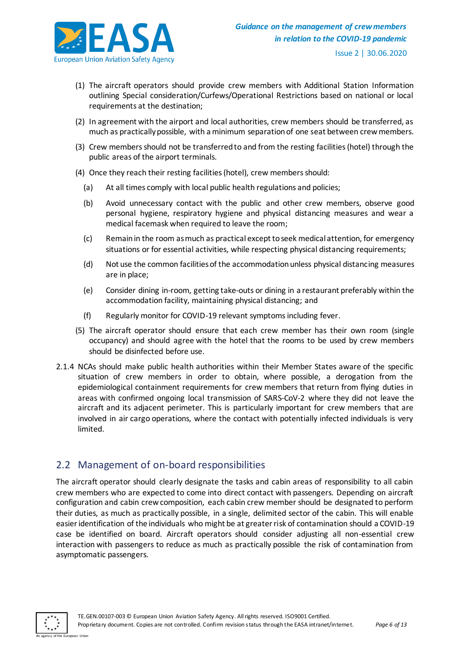

- (1) The aircraft operators should provide crew members with Additional Station Information outlining Special consideration/Curfews/Operational Restrictions based on national or local requirements at the destination;
- (2) In agreement with the airport and local authorities, crew members should be transferred, as much as practically possible, with a minimum separation of one seat between crew members.
- (3) Crew members should not be transferred to and from the resting facilities (hotel) through the public areas of the airport terminals.
- (4) Once they reach their resting facilities (hotel), crew members should:
	- (a) At all times comply with local public health regulations and policies;
	- (b) Avoid unnecessary contact with the public and other crew members, observe good personal hygiene, respiratory hygiene and physical distancing measures and wear a medical facemask when required to leave the room;
	- (c) Remain in the room as much as practical except to seek medical attention, for emergency situations or for essential activities, while respecting physical distancing requirements;
	- (d) Not use the common facilities of the accommodation unless physical distancing measures are in place;
	- (e) Consider dining in-room, getting take-outs or dining in a restaurant preferably within the accommodation facility, maintaining physical distancing; and
	- (f) Regularly monitor for COVID-19 relevant symptoms including fever.
- (5) The aircraft operator should ensure that each crew member has their own room (single occupancy) and should agree with the hotel that the rooms to be used by crew members should be disinfected before use.
- 2.1.4 NCAs should make public health authorities within their Member States aware of the specific situation of crew members in order to obtain, where possible, a derogation from the epidemiological containment requirements for crew members that return from flying duties in areas with confirmed ongoing local transmission of SARS-CoV-2 where they did not leave the aircraft and its adjacent perimeter. This is particularly important for crew members that are involved in air cargo operations, where the contact with potentially infected individuals is very limited.

# <span id="page-6-0"></span>2.2 Management of on-board responsibilities

The aircraft operator should clearly designate the tasks and cabin areas of responsibility to all cabin crew members who are expected to come into direct contact with passengers. Depending on aircraft configuration and cabin crew composition, each cabin crew member should be designated to perform their duties, as much as practically possible, in a single, delimited sector of the cabin. This will enable easier identification of the individuals who might be at greater risk of contamination should a COVID-19 case be identified on board. Aircraft operators should consider adjusting all non-essential crew interaction with passengers to reduce as much as practically possible the risk of contamination from asymptomatic passengers.

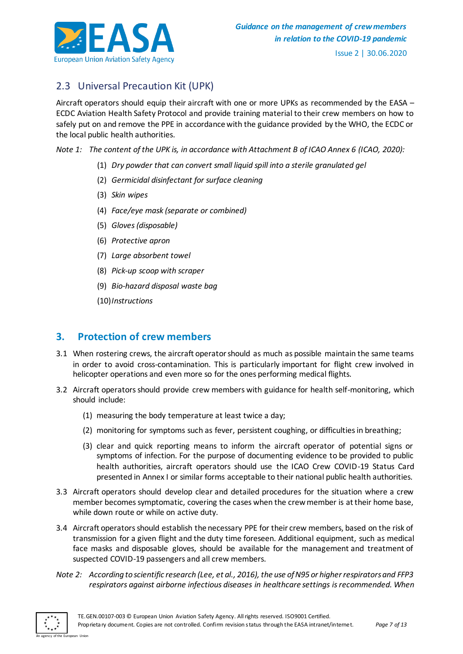

# <span id="page-7-0"></span>2.3 Universal Precaution Kit (UPK)

Aircraft operators should equip their aircraft with one or more UPKs as recommended by the EASA – ECDC Aviation Health Safety Protocol and provide training material to their crew members on how to safely put on and remove the PPE in accordance with the guidance provided by the WHO, the ECDC or the local public health authorities.

*Note 1: The content of the UPK is, in accordance with Attachment B of ICAO Annex 6 (ICAO, 2020):*

- (1) *Dry powder that can convert small liquid spill into a sterile granulated gel*
- (2) *Germicidal disinfectant for surface cleaning*
- (3) *Skin wipes*
- (4) *Face/eye mask (separate or combined)*
- (5) *Gloves (disposable)*
- (6) *Protective apron*
- (7) *Large absorbent towel*
- (8) *Pick-up scoop with scraper*
- (9) *Bio-hazard disposal waste bag*
- (10)*Instructions*

#### <span id="page-7-1"></span>**3. Protection of crew members**

- 3.1 When rostering crews, the aircraft operator should as much as possible maintain the same teams in order to avoid cross-contamination. This is particularly important for flight crew involved in helicopter operations and even more so for the ones performing medical flights.
- 3.2 Aircraft operators should provide crew members with guidance for health self-monitoring, which should include:
	- (1) measuring the body temperature at least twice a day;
	- (2) monitoring for symptoms such as fever, persistent coughing, or difficulties in breathing;
	- (3) clear and quick reporting means to inform the aircraft operator of potential signs or symptoms of infection. For the purpose of documenting evidence to be provided to public health authorities, aircraft operators should use the ICAO Crew COVID-19 Status Card presented in Annex I or similar forms acceptable to their national public health authorities.
- 3.3 Aircraft operators should develop clear and detailed procedures for the situation where a crew member becomes symptomatic, covering the cases when the crew member is at their home base, while down route or while on active duty.
- 3.4 Aircraft operators should establish the necessary PPE for their crew members, based on the risk of transmission for a given flight and the duty time foreseen. Additional equipment, such as medical face masks and disposable gloves, should be available for the management and treatment of suspected COVID-19 passengers and all crew members.
- *Note 2: According to scientific research (Lee, et al., 2016), the use of N95 or higher respirators and FFP3 respirators against airborne infectious diseases in healthcare settings is recommended. When*

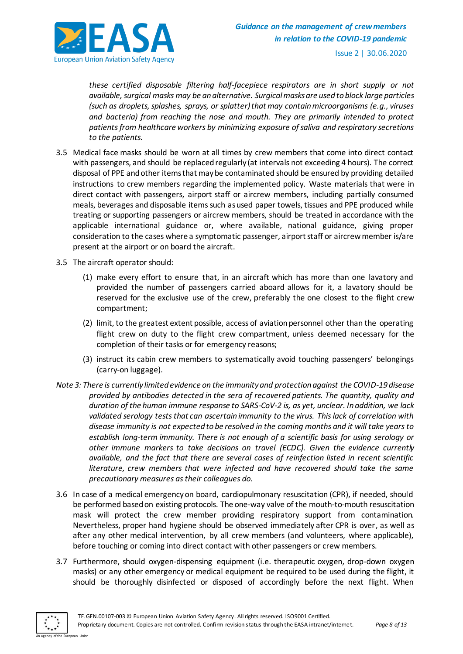

*these certified disposable filtering half-facepiece respirators are in short supply or not available, surgical masks may be an alternative. Surgical masks are used to block large particles (such as droplets, splashes, sprays, or splatter) that may contain microorganisms (e.g., viruses and bacteria) from reaching the nose and mouth. They are primarily intended to protect patients from healthcare workers by minimizing exposure of saliva and respiratory secretions to the patients.*

- 3.5 Medical face masks should be worn at all times by crew members that come into direct contact with passengers, and should be replaced regularly (at intervals not exceeding 4 hours). The correct disposal of PPE and other items that may be contaminated should be ensured by providing detailed instructions to crew members regarding the implemented policy. Waste materials that were in direct contact with passengers, airport staff or aircrew members, including partially consumed meals, beverages and disposable items such as used paper towels, tissues and PPE produced while treating or supporting passengers or aircrew members, should be treated in accordance with the applicable international guidance or, where available, national guidance, giving proper consideration to the cases where a symptomatic passenger, airport staff or aircrew member is/are present at the airport or on board the aircraft.
- 3.5 The aircraft operator should:
	- (1) make every effort to ensure that, in an aircraft which has more than one lavatory and provided the number of passengers carried aboard allows for it, a lavatory should be reserved for the exclusive use of the crew, preferably the one closest to the flight crew compartment;
	- (2) limit, to the greatest extent possible, access of aviation personnel other than the operating flight crew on duty to the flight crew compartment, unless deemed necessary for the completion of their tasks or for emergency reasons;
	- (3) instruct its cabin crew members to systematically avoid touching passengers' belongings (carry-on luggage).
- *Note 3: There is currently limited evidence on the immunity and protection against the COVID-19 disease provided by antibodies detected in the sera of recovered patients. The quantity, quality and duration of the human immune response to SARS-CoV-2 is, as yet, unclear. In addition, we lack validated serology tests that can ascertain immunity to the virus. This lack of correlation with disease immunity is not expected to be resolved in the coming months and it will take years to establish long-term immunity. There is not enough of a scientific basis for using serology or other immune markers to take decisions on travel (ECDC). Given the evidence currently available, and the fact that there are several cases of reinfection listed in recent scientific literature, crew members that were infected and have recovered should take the same precautionary measures as their colleagues do.*
- 3.6 In case of a medical emergency on board, cardiopulmonary resuscitation (CPR), if needed, should be performed based on existing protocols. The one-way valve of the mouth-to-mouth resuscitation mask will protect the crew member providing respiratory support from contamination. Nevertheless, proper hand hygiene should be observed immediately after CPR is over, as well as after any other medical intervention, by all crew members (and volunteers, where applicable), before touching or coming into direct contact with other passengers or crew members.
- 3.7 Furthermore, should oxygen-dispensing equipment (i.e. therapeutic oxygen, drop-down oxygen masks) or any other emergency or medical equipment be required to be used during the flight, it should be thoroughly disinfected or disposed of accordingly before the next flight. When

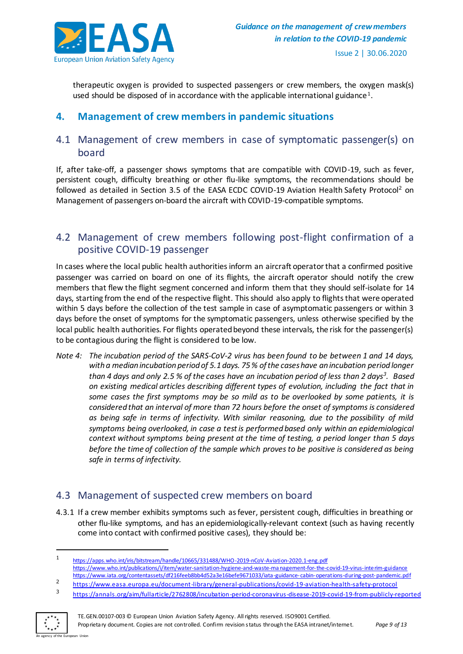

therapeutic oxygen is provided to suspected passengers or crew members, the oxygen mask(s) used should be disposed of in accordance with the applicable international guidance<sup>1</sup>.

# <span id="page-9-0"></span>**4. Management of crew members in pandemic situations**

### <span id="page-9-1"></span>4.1 Management of crew members in case of symptomatic passenger(s) on board

If, after take-off, a passenger shows symptoms that are compatible with COVID-19, such as fever, persistent cough, difficulty breathing or other flu-like symptoms, the recommendations should be followed as detailed in Section 3.5 of the EASA ECDC COVID-19 Aviation Health Safety Protocol<sup>2</sup> on Management of passengers on-board the aircraft with COVID-19-compatible symptoms.

# <span id="page-9-2"></span>4.2 Management of crew members following post-flight confirmation of a positive COVID-19 passenger

In cases where the local public health authorities inform an aircraft operator that a confirmed positive passenger was carried on board on one of its flights, the aircraft operator should notify the crew members that flew the flight segment concerned and inform them that they should self-isolate for 14 days, starting from the end of the respective flight. This should also apply to flights that were operated within 5 days before the collection of the test sample in case of asymptomatic passengers or within 3 days before the onset of symptoms for the symptomatic passengers, unless otherwise specified by the local public health authorities. For flights operated beyond these intervals, the risk for the passenger(s) to be contagious during the flight is considered to be low.

*Note 4: The incubation period of the SARS-CoV-2 virus has been found to be between 1 and 14 days, with a median incubation period of 5.1 days. 75 % of the cases have an incubation period longer than 4 days and only 2.5 % of the cases have an incubation period of less than 2 days<sup>3</sup> . Based on existing medical articles describing different types of evolution, including the fact that in some cases the first symptoms may be so mild as to be overlooked by some patients, it is considered that an interval of more than 72 hours before the onset of symptoms is considered as being safe in terms of infectivity. With similar reasoning, due to the possibility of mild symptoms being overlooked, in case a test is performed based only within an epidemiological context without symptoms being present at the time of testing, a period longer than 5 days before the time of collection of the sample which proves to be positive is considered as being safe in terms of infectivity.*

# <span id="page-9-3"></span>4.3 Management of suspected crew members on board

4.3.1 If a crew member exhibits symptoms such as fever, persistent cough, difficulties in breathing or other flu-like symptoms, and has an epidemiologically-relevant context (such as having recently come into contact with confirmed positive cases), they should be:

<sup>3</sup> <https://annals.org/aim/fullarticle/2762808/incubation-period-coronavirus-disease-2019-covid-19-from-publicly-reported>



 $\overline{a}$ 

<sup>1</sup> <https://apps.who.int/iris/bitstream/handle/10665/331488/WHO-2019-nCoV-Aviation-2020.1-eng.pdf> [https://www.who.int/publications/i/item/water-sanitation-hygiene-and-waste-ma nagement-for-the-covid-19-virus-interim-guidance](https://www.who.int/publications/i/item/water-sanitation-hygiene-and-waste-management-for-the-covid-19-virus-interim-guidance) <https://www.iata.org/contentassets/df216feeb8bb4d52a3e16befe9671033/iata-guidance-cabin-operations-during-post-pandemic.pdf>

<sup>2</sup> [https://www.easa.europa.eu/document-library/general-publications/covid-19-aviation-health-safety-proto](https://www.easa.europa.eu/document-library/general-publications/covid-19-aviation-health-safety-protocol)col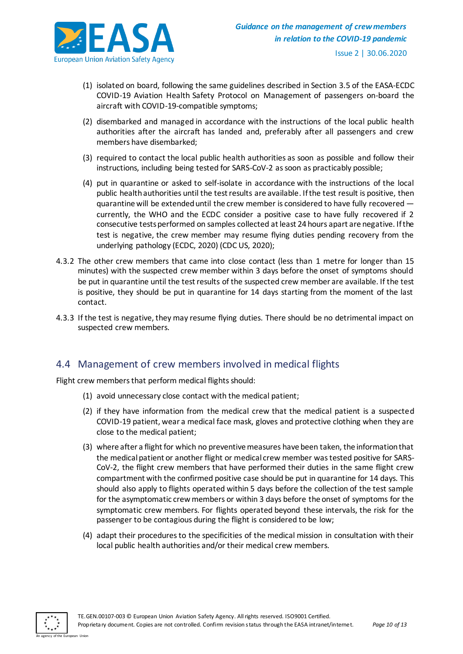

- (1) isolated on board, following the same guidelines described in Section 3.5 of the EASA-ECDC COVID-19 Aviation Health Safety Protocol on Management of passengers on-board the aircraft with COVID-19-compatible symptoms;
- (2) disembarked and managed in accordance with the instructions of the local public health authorities after the aircraft has landed and, preferably after all passengers and crew members have disembarked;
- (3) required to contact the local public health authorities as soon as possible and follow their instructions, including being tested for SARS-CoV-2 as soon as practicably possible;
- (4) put in quarantine or asked to self-isolate in accordance with the instructions of the local public health authorities until the test results are available. If the test result is positive, then quarantine will be extended until the crew member is considered to have fully recovered currently, the WHO and the ECDC consider a positive case to have fully recovered if 2 consecutive tests performed on samples collected at least 24 hours apart are negative. If the test is negative, the crew member may resume flying duties pending recovery from the underlying pathology (ECDC, 2020) (CDC US, 2020);
- 4.3.2 The other crew members that came into close contact (less than 1 metre for longer than 15 minutes) with the suspected crew member within 3 days before the onset of symptoms should be put in quarantine until the test results of the suspected crew member are available. If the test is positive, they should be put in quarantine for 14 days starting from the moment of the last contact.
- 4.3.3 If the test is negative, they may resume flying duties. There should be no detrimental impact on suspected crew members.

#### <span id="page-10-0"></span>4.4 Management of crew members involved in medical flights

Flight crew members that perform medical flights should:

- (1) avoid unnecessary close contact with the medical patient;
- (2) if they have information from the medical crew that the medical patient is a suspected COVID-19 patient, wear a medical face mask, gloves and protective clothing when they are close to the medical patient;
- (3) where after a flight for which no preventive measures have been taken, the information that the medical patient or another flight or medical crew member was tested positive for SARS-CoV-2, the flight crew members that have performed their duties in the same flight crew compartment with the confirmed positive case should be put in quarantine for 14 days. This should also apply to flights operated within 5 days before the collection of the test sample for the asymptomatic crew members or within 3 days before the onset of symptoms for the symptomatic crew members. For flights operated beyond these intervals, the risk for the passenger to be contagious during the flight is considered to be low;
- (4) adapt their procedures to the specificities of the medical mission in consultation with their local public health authorities and/or their medical crew members.

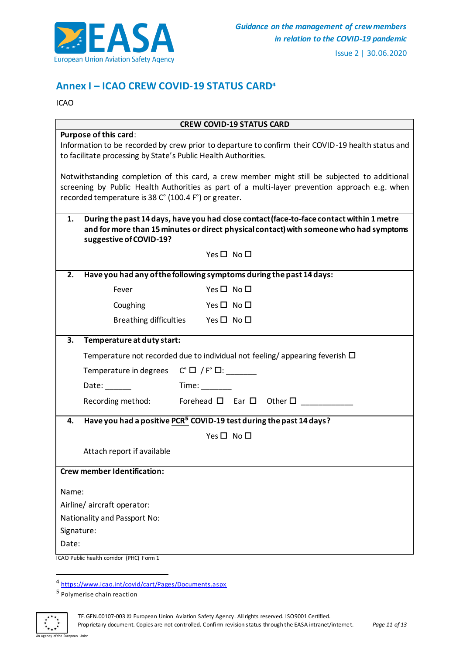

# <span id="page-11-0"></span>**Annex I – ICAO CREW COVID-19 STATUS CARD<sup>4</sup>**

ICAO

| <b>CREW COVID-19 STATUS CARD</b>                                                                                                                                                                                                                       |                                                                                  |                                                                                                                                                                                    |  |  |
|--------------------------------------------------------------------------------------------------------------------------------------------------------------------------------------------------------------------------------------------------------|----------------------------------------------------------------------------------|------------------------------------------------------------------------------------------------------------------------------------------------------------------------------------|--|--|
| Purpose of this card:<br>Information to be recorded by crew prior to departure to confirm their COVID-19 health status and<br>to facilitate processing by State's Public Health Authorities.                                                           |                                                                                  |                                                                                                                                                                                    |  |  |
| Notwithstanding completion of this card, a crew member might still be subjected to additional<br>screening by Public Health Authorities as part of a multi-layer prevention approach e.g. when<br>recorded temperature is 38 C° (100.4 F°) or greater. |                                                                                  |                                                                                                                                                                                    |  |  |
| 1.                                                                                                                                                                                                                                                     | suggestive of COVID-19?                                                          | During the past 14 days, have you had close contact (face-to-face contact within 1 metre<br>and for more than 15 minutes or direct physical contact) with someone who had symptoms |  |  |
|                                                                                                                                                                                                                                                        |                                                                                  | Yes□ No□                                                                                                                                                                           |  |  |
| 2.                                                                                                                                                                                                                                                     |                                                                                  | Have you had any of the following symptoms during the past 14 days:                                                                                                                |  |  |
|                                                                                                                                                                                                                                                        | Fever                                                                            | $Yes \Box No \Box$                                                                                                                                                                 |  |  |
|                                                                                                                                                                                                                                                        | Coughing                                                                         | $Yes \Box No \Box$                                                                                                                                                                 |  |  |
|                                                                                                                                                                                                                                                        |                                                                                  | Breathing difficulties Yes $\square$ No $\square$                                                                                                                                  |  |  |
| 3.                                                                                                                                                                                                                                                     | Temperature at duty start:                                                       |                                                                                                                                                                                    |  |  |
|                                                                                                                                                                                                                                                        | Temperature not recorded due to individual not feeling/appearing feverish $\Box$ |                                                                                                                                                                                    |  |  |
|                                                                                                                                                                                                                                                        | Temperature in degrees $C^{\circ} \Box / F^{\circ} \Box$ : _______               |                                                                                                                                                                                    |  |  |
|                                                                                                                                                                                                                                                        | Date:                                                                            | Time:                                                                                                                                                                              |  |  |
|                                                                                                                                                                                                                                                        | Recording method:                                                                | Forehead $\Box$ Ear $\Box$ Other $\Box$                                                                                                                                            |  |  |
| 4.                                                                                                                                                                                                                                                     |                                                                                  | Have you had a positive PCR <sup>5</sup> COVID-19 test during the past 14 days?                                                                                                    |  |  |
|                                                                                                                                                                                                                                                        |                                                                                  | Yes□ No□                                                                                                                                                                           |  |  |
|                                                                                                                                                                                                                                                        | Attach report if available                                                       |                                                                                                                                                                                    |  |  |
|                                                                                                                                                                                                                                                        | <b>Crew member Identification:</b>                                               |                                                                                                                                                                                    |  |  |
| Name:<br>Signature:<br>Date:                                                                                                                                                                                                                           | Airline/ aircraft operator:<br>Nationality and Passport No:                      |                                                                                                                                                                                    |  |  |

ICAO Public health corridor (PHC) Form 1

an The Europe



TE.GEN.00107-003 © European Union Aviation Safety Agency. All rights reserved. ISO9001 Certified. Proprieta ry document. Copies are not controlled. Confirm revision status through the EASA intranet/internet. *Page 11 of 13*

a<br><sup>4</sup> <https://www.icao.int/covid/cart/Pages/Documents.aspx>

<sup>&</sup>lt;sup>5</sup> Polymerise chain reaction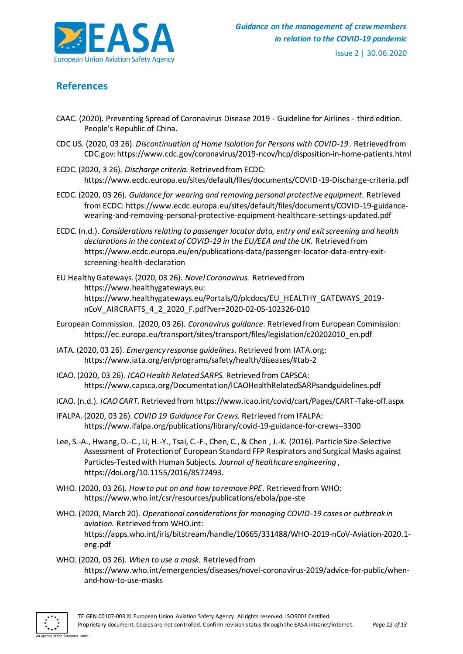

# <span id="page-12-0"></span>**References**

- CAAC. (2020). Preventing Spread of Coronavirus Disease 2019 Guideline for Airlines third edition. People's Republic of China.
- CDC US. (2020, 03 26). *Discontinuation of Home Isolation for Persons with COVID-19 .* Retrieved from CDC.gov: https://www.cdc.gov/coronavirus/2019-ncov/hcp/disposition-in-home-patients.html
- ECDC. (2020, 3 26). *Discharge criteria.* Retrieved from ECDC: https://www.ecdc.europa.eu/sites/default/files/documents/COVID-19-Discharge-criteria.pdf
- ECDC. (2020, 03 26). *Guidance for wearing and removing personal protective equipment.* Retrieved from ECDC: https://www.ecdc.europa.eu/sites/default/files/documents/COVID-19-guidancewearing-and-removing-personal-protective-equipment-healthcare-settings-updated.pdf
- ECDC. (n.d.). *Considerations relating to passenger locator data, entry and exit screening and health declarations in the context of COVID-19 in the EU/EEA and the UK.* Retrieved from https://www.ecdc.europa.eu/en/publications-data/passenger-locator-data-entry-exitscreening-health-declaration
- EU Healthy Gateways. (2020, 03 26). *Novel Coronavirus.* Retrieved from https://www.healthygateways.eu: https://www.healthygateways.eu/Portals/0/plcdocs/EU\_HEALTHY\_GATEWAYS\_2019 nCoV\_AIRCRAFTS\_4\_2\_2020\_F.pdf?ver=2020-02-05-102326-010
- European Commission. (2020, 03 26). *Coronavirus guidance.* Retrieved from European Commission: https://ec.europa.eu/transport/sites/transport/files/legislation/c20202010\_en.pdf
- IATA. (2020, 03 26). *Emergency response guidelines*. Retrieved from IATA.org: https://www.iata.org/en/programs/safety/health/diseases/#tab-2
- ICAO. (2020, 03 26). *ICAO Health Related SARPS.* Retrieved from CAPSCA: https://www.capsca.org/Documentation/ICAOHealthRelatedSARPsandguidelines.pdf
- ICAO. (n.d.). *ICAO CART.* Retrieved from https://www.icao.int/covid/cart/Pages/CART-Take-off.aspx
- IFALPA. (2020, 03 26). *COVID 19 Guidance For Crews.* Retrieved from IFALPA: https://www.ifalpa.org/publications/library/covid-19-guidance-for-crews--3300
- Lee, S.-A., Hwang, D.-C., Li, H.-Y., Tsai, C.-F., Chen, C., & Chen , J.-K. (2016). Particle Size-Selective Assessment of Protection of European Standard FFP Respirators and Surgical Masks against Particles-Tested with Human Subjects. *Journal of healthcare engineering* , https://doi.org/10.1155/2016/8572493.
- WHO. (2020, 03 26). *How to put on and how to remove PPE*. Retrieved from WHO: https://www.who.int/csr/resources/publications/ebola/ppe-ste
- WHO. (2020, March 20). *Operational considerations for managing COVID-19 cases or outbreak in aviation.* Retrieved from WHO.int: https://apps.who.int/iris/bitstream/handle/10665/331488/WHO-2019-nCoV-Aviation-2020.1 eng.pdf
- WHO. (2020, 03 26). *When to use a mask*. Retrieved from https://www.who.int/emergencies/diseases/novel-coronavirus-2019/advice-for-public/whenand-how-to-use-masks